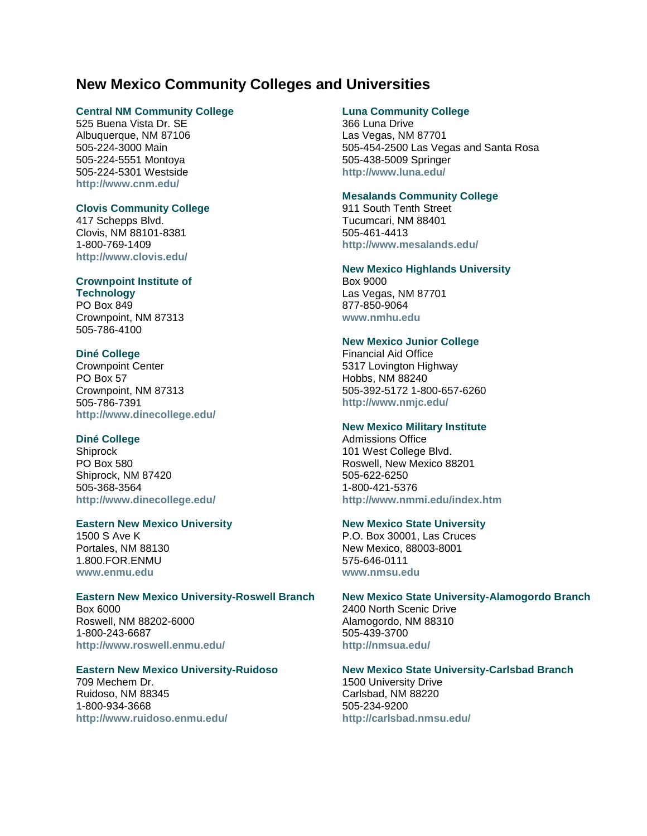# **New Mexico Community Colleges and Universities**

### **[Central NM Community College](http://www.cnm.edu/)**

525 Buena Vista Dr. SE Albuquerque, NM 87106 505-224-3000 Main 505-224-5551 Montoya 505-224-5301 Westside **<http://www.cnm.edu/>**

# **[Clovis Community College](http://www.clovis.cc.nm.us/)**

417 Schepps Blvd. Clovis, NM 88101-8381 1-800-769-1409 **<http://www.clovis.edu/>**

### **[Crownpoint Institute of](http://www.cit.cc.nm.us/)**

**[Technology](http://www.cit.cc.nm.us/)** PO Box 849 Crownpoint, NM 87313 505-786-4100

# **[Diné College](http://www.dinecollege.edu/)**

Crownpoint Center PO Box 57 Crownpoint, NM 87313 505-786-7391 **<http://www.dinecollege.edu/>**

# **[Diné College](http://shiprock.dinecollege.edu/SrkLearnCtr/links.htm)**

Shiprock PO Box 580 Shiprock, NM 87420 505-368-3564 **<http://www.dinecollege.edu/>**

# **Eastern New Mexico University**

1500 S Ave K Portales, NM 88130 1.800.FOR.ENMU **[www.enmu.edu](http://www.enmu.edu/)**

#### **[Eastern New Mexico University-Roswell Branch](http://www.roswell.enmu.edu/)**

Box 6000 Roswell, NM 88202-6000 1-800-243-6687 **<http://www.roswell.enmu.edu/>**

# **[Eastern New Mexico University-Ruidoso](http://www.ruidoso.enmu.edu/)**

709 Mechem Dr. Ruidoso, NM 88345 1-800-934-3668 **<http://www.ruidoso.enmu.edu/>**

# **[Luna Community College](http://www.lvti.cc.nm.us/)**

366 Luna Drive Las Vegas, NM 87701 505-454-2500 Las Vegas and Santa Rosa 505-438-5009 Springer **<http://www.luna.edu/>**

## **[Mesalands Community College](http://www.mesalands.edu/)**

911 South Tenth Street Tucumcari, NM 88401 505-461-4413 **<http://www.mesalands.edu/>**

#### **New Mexico Highlands University**

Box 9000 Las Vegas, NM 87701 877-850-9064 **[www.nmhu.edu](http://www.nmhu.edu/)**

## **[New Mexico Junior College](http://www.nmjc.edu/)**

Financial Aid Office 5317 Lovington Highway Hobbs, NM 88240 505-392-5172 1-800-657-6260 **<http://www.nmjc.edu/>**

## **[New Mexico Military Institute](http://www.nmmi.edu/index.htm)**

Admissions Office 101 West College Blvd. Roswell, New Mexico 88201 505-622-6250 1-800-421-5376 **<http://www.nmmi.edu/index.htm>**

#### **New Mexico State University**

P.O. Box 30001, Las Cruces New Mexico, 88003-8001 575-646-0111 **[www.nmsu.edu](http://www.nmsu.edu/)**

#### **[New Mexico State University-Alamogordo Branch](http://nmsua.edu/)**

2400 North Scenic Drive Alamogordo, NM 88310 505-439-3700 **<http://nmsua.edu/>**

# **[New Mexico State University-Carlsbad Branch](http://cavern.nmsu.edu/)**

1500 University Drive Carlsbad, NM 88220 505-234-9200 **<http://carlsbad.nmsu.edu/>**